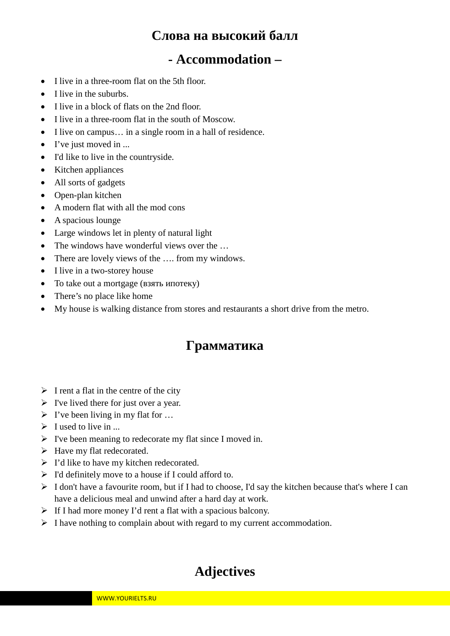## **Слова на высокий балл**

## **- Accommodation –**

- I live in a three-room flat on the 5th floor.
- I live in the suburbs.
- I live in a block of flats on the 2nd floor.
- I live in a three-room flat in the south of Moscow.
- I live on campus… in a single room in a hall of residence.
- I've just moved in ...
- I'd like to live in the countryside.
- Kitchen appliances
- All sorts of gadgets
- Open-plan kitchen
- A modern flat with all the mod cons
- A spacious lounge
- Large windows let in plenty of natural light
- The windows have wonderful views over the ...
- There are lovely views of the .... from my windows.
- I live in a two-storey house
- To take out a mortgage (взять ипотеку)
- There's no place like home
- My house is walking distance from stores and restaurants a short drive from the metro.

## **Грамматика**

- $\triangleright$  I rent a flat in the centre of the city
- $\triangleright$  I've lived there for just over a year.
- $\triangleright$  I've been living in my flat for ...
- $\triangleright$  I used to live in ...
- $\triangleright$  I've been meaning to redecorate my flat since I moved in.
- $\triangleright$  Have my flat redecorated.
- $\triangleright$  I'd like to have my kitchen redecorated.
- $\triangleright$  I'd definitely move to a house if I could afford to.
- $\triangleright$  I don't have a favourite room, but if I had to choose, I'd say the kitchen because that's where I can have a delicious meal and unwind after a hard day at work.
- $\triangleright$  If I had more money I'd rent a flat with a spacious balcony.
- $\triangleright$  I have nothing to complain about with regard to my current accommodation.

## **Adjectives**